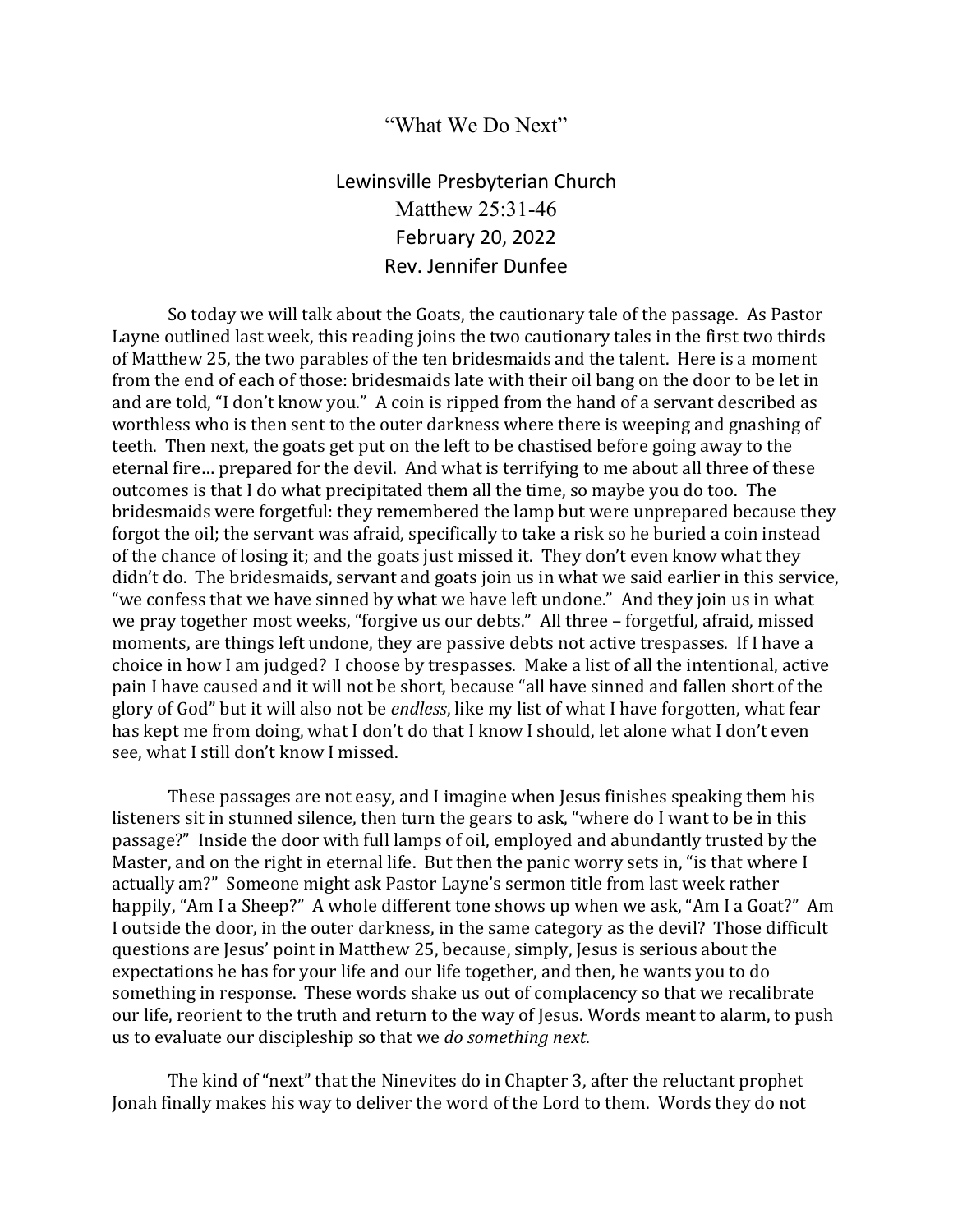## "What We Do Next"

Lewinsville Presbyterian Church Matthew 25:31-46 February 20, 2022 Rev. Jennifer Dunfee

So today we will talk about the Goats, the cautionary tale of the passage. As Pastor Layne outlined last week, this reading joins the two cautionary tales in the first two thirds of Matthew 25, the two parables of the ten bridesmaids and the talent. Here is a moment from the end of each of those: bridesmaids late with their oil bang on the door to be let in and are told, "I don't know you." A coin is ripped from the hand of a servant described as worthless who is then sent to the outer darkness where there is weeping and gnashing of teeth. Then next, the goats get put on the left to be chastised before going away to the eternal fire… prepared for the devil. And what is terrifying to me about all three of these outcomes is that I do what precipitated them all the time, so maybe you do too. The bridesmaids were forgetful: they remembered the lamp but were unprepared because they forgot the oil; the servant was afraid, specifically to take a risk so he buried a coin instead of the chance of losing it; and the goats just missed it. They don't even know what they didn't do. The bridesmaids, servant and goats join us in what we said earlier in this service, "we confess that we have sinned by what we have left undone." And they join us in what we pray together most weeks, "forgive us our debts." All three – forgetful, afraid, missed moments, are things left undone, they are passive debts not active trespasses. If I have a choice in how I am judged? I choose by trespasses. Make a list of all the intentional, active pain I have caused and it will not be short, because "all have sinned and fallen short of the glory of God" but it will also not be *endless*, like my list of what I have forgotten, what fear has kept me from doing, what I don't do that I know I should, let alone what I don't even see, what I still don't know I missed.

These passages are not easy, and I imagine when Jesus finishes speaking them his listeners sit in stunned silence, then turn the gears to ask, "where do I want to be in this passage?" Inside the door with full lamps of oil, employed and abundantly trusted by the Master, and on the right in eternal life. But then the panic worry sets in, "is that where I actually am?" Someone might ask Pastor Layne's sermon title from last week rather happily, "Am I a Sheep?" A whole different tone shows up when we ask, "Am I a Goat?" Am I outside the door, in the outer darkness, in the same category as the devil? Those difficult questions are Jesus' point in Matthew 25, because, simply, Jesus is serious about the expectations he has for your life and our life together, and then, he wants you to do something in response. These words shake us out of complacency so that we recalibrate our life, reorient to the truth and return to the way of Jesus. Words meant to alarm, to push us to evaluate our discipleship so that we *do something next*.

The kind of "next" that the Ninevites do in Chapter 3, after the reluctant prophet Jonah finally makes his way to deliver the word of the Lord to them. Words they do not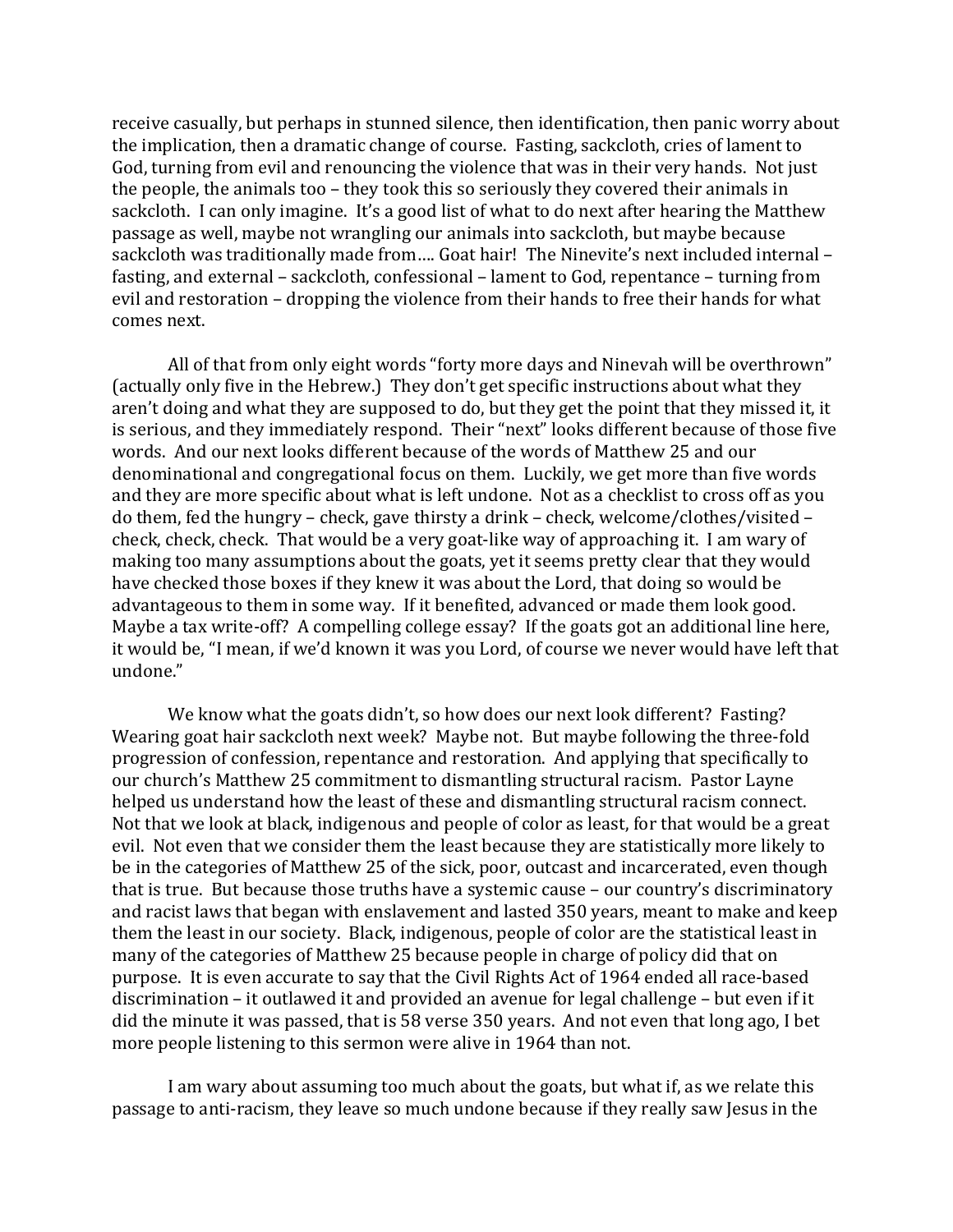receive casually, but perhaps in stunned silence, then identification, then panic worry about the implication, then a dramatic change of course. Fasting, sackcloth, cries of lament to God, turning from evil and renouncing the violence that was in their very hands. Not just the people, the animals too – they took this so seriously they covered their animals in sackcloth. I can only imagine. It's a good list of what to do next after hearing the Matthew passage as well, maybe not wrangling our animals into sackcloth, but maybe because sackcloth was traditionally made from…. Goat hair! The Ninevite's next included internal – fasting, and external – sackcloth, confessional – lament to God, repentance – turning from evil and restoration – dropping the violence from their hands to free their hands for what comes next.

All of that from only eight words "forty more days and Ninevah will be overthrown" (actually only five in the Hebrew.) They don't get specific instructions about what they aren't doing and what they are supposed to do, but they get the point that they missed it, it is serious, and they immediately respond. Their "next" looks different because of those five words. And our next looks different because of the words of Matthew 25 and our denominational and congregational focus on them. Luckily, we get more than five words and they are more specific about what is left undone. Not as a checklist to cross off as you do them, fed the hungry – check, gave thirsty a drink – check, welcome/clothes/visited – check, check, check. That would be a very goat-like way of approaching it. I am wary of making too many assumptions about the goats, yet it seems pretty clear that they would have checked those boxes if they knew it was about the Lord, that doing so would be advantageous to them in some way. If it benefited, advanced or made them look good. Maybe a tax write-off? A compelling college essay? If the goats got an additional line here, it would be, "I mean, if we'd known it was you Lord, of course we never would have left that undone."

We know what the goats didn't, so how does our next look different? Fasting? Wearing goat hair sackcloth next week? Maybe not. But maybe following the three-fold progression of confession, repentance and restoration. And applying that specifically to our church's Matthew 25 commitment to dismantling structural racism. Pastor Layne helped us understand how the least of these and dismantling structural racism connect. Not that we look at black, indigenous and people of color as least, for that would be a great evil. Not even that we consider them the least because they are statistically more likely to be in the categories of Matthew 25 of the sick, poor, outcast and incarcerated, even though that is true. But because those truths have a systemic cause – our country's discriminatory and racist laws that began with enslavement and lasted 350 years, meant to make and keep them the least in our society. Black, indigenous, people of color are the statistical least in many of the categories of Matthew 25 because people in charge of policy did that on purpose. It is even accurate to say that the Civil Rights Act of 1964 ended all race-based discrimination – it outlawed it and provided an avenue for legal challenge – but even if it did the minute it was passed, that is 58 verse 350 years. And not even that long ago, I bet more people listening to this sermon were alive in 1964 than not.

I am wary about assuming too much about the goats, but what if, as we relate this passage to anti-racism, they leave so much undone because if they really saw Jesus in the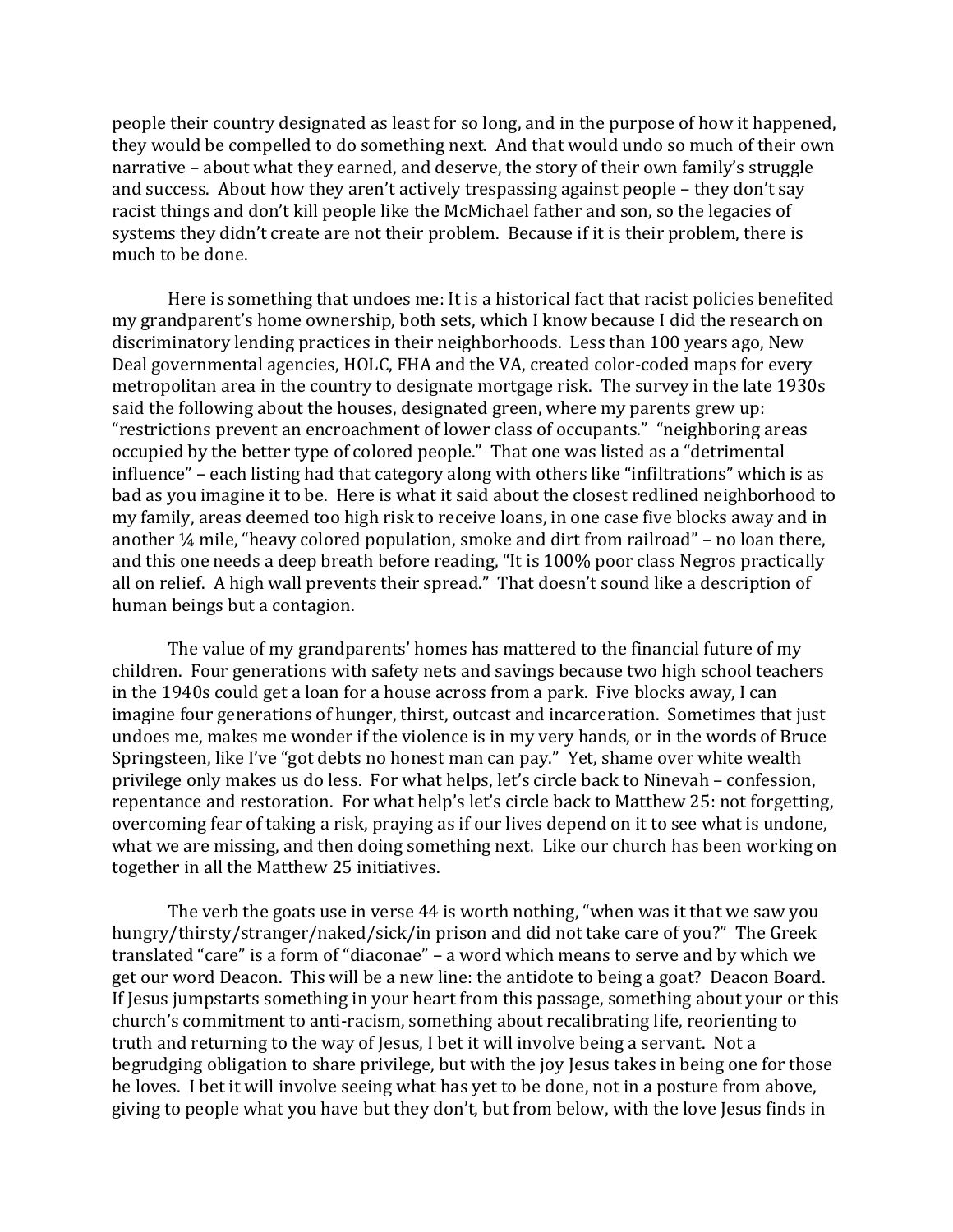people their country designated as least for so long, and in the purpose of how it happened, they would be compelled to do something next. And that would undo so much of their own narrative – about what they earned, and deserve, the story of their own family's struggle and success. About how they aren't actively trespassing against people – they don't say racist things and don't kill people like the McMichael father and son, so the legacies of systems they didn't create are not their problem. Because if it is their problem, there is much to be done.

Here is something that undoes me: It is a historical fact that racist policies benefited my grandparent's home ownership, both sets, which I know because I did the research on discriminatory lending practices in their neighborhoods. Less than 100 years ago, New Deal governmental agencies, HOLC, FHA and the VA, created color-coded maps for every metropolitan area in the country to designate mortgage risk. The survey in the late 1930s said the following about the houses, designated green, where my parents grew up: "restrictions prevent an encroachment of lower class of occupants." "neighboring areas occupied by the better type of colored people." That one was listed as a "detrimental influence" – each listing had that category along with others like "infiltrations" which is as bad as you imagine it to be. Here is what it said about the closest redlined neighborhood to my family, areas deemed too high risk to receive loans, in one case five blocks away and in another ¼ mile, "heavy colored population, smoke and dirt from railroad" – no loan there, and this one needs a deep breath before reading, "It is 100% poor class Negros practically all on relief. A high wall prevents their spread." That doesn't sound like a description of human beings but a contagion.

The value of my grandparents' homes has mattered to the financial future of my children. Four generations with safety nets and savings because two high school teachers in the 1940s could get a loan for a house across from a park. Five blocks away, I can imagine four generations of hunger, thirst, outcast and incarceration. Sometimes that just undoes me, makes me wonder if the violence is in my very hands, or in the words of Bruce Springsteen, like I've "got debts no honest man can pay." Yet, shame over white wealth privilege only makes us do less. For what helps, let's circle back to Ninevah – confession, repentance and restoration. For what help's let's circle back to Matthew 25: not forgetting, overcoming fear of taking a risk, praying as if our lives depend on it to see what is undone, what we are missing, and then doing something next. Like our church has been working on together in all the Matthew 25 initiatives.

The verb the goats use in verse 44 is worth nothing, "when was it that we saw you hungry/thirsty/stranger/naked/sick/in prison and did not take care of you?" The Greek translated "care" is a form of "diaconae" – a word which means to serve and by which we get our word Deacon. This will be a new line: the antidote to being a goat? Deacon Board. If Jesus jumpstarts something in your heart from this passage, something about your or this church's commitment to anti-racism, something about recalibrating life, reorienting to truth and returning to the way of Jesus, I bet it will involve being a servant. Not a begrudging obligation to share privilege, but with the joy Jesus takes in being one for those he loves. I bet it will involve seeing what has yet to be done, not in a posture from above, giving to people what you have but they don't, but from below, with the love Jesus finds in